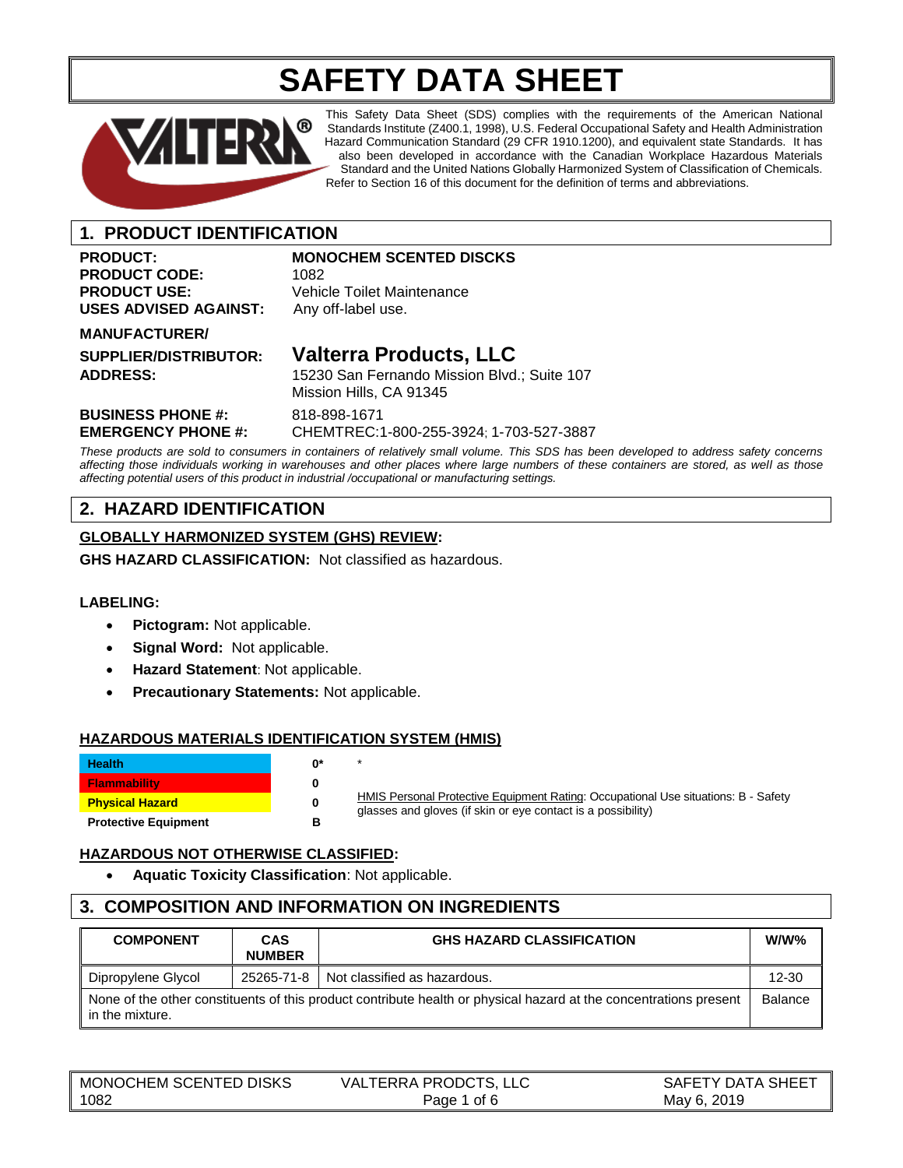# **SAFETY DATA SHEET**



This Safety Data Sheet (SDS) complies with the requirements of the American National Standards Institute (Z400.1, 1998), U.S. Federal Occupational Safety and Health Administration Hazard Communication Standard (29 CFR 1910.1200), and equivalent state Standards. It has also been developed in accordance with the Canadian Workplace Hazardous Materials Standard and the United Nations Globally Harmonized System of Classification of Chemicals. Refer to Section 16 of this document for the definition of terms and abbreviations.

# **1. PRODUCT IDENTIFICATION**

# PRODUCT CODE: 1082 **PRODUCT USE:** Vehicle Toilet Maintenance **USES ADVISED AGAINST:** Any off-label use.

# **PRODUCT:** MONOCHEM SCENTED DISCKS

#### **MANUFACTURER/**

**SUPPLIER/DISTRIBUTOR: Valterra Products, LLC**

**ADDRESS:** 15230 San Fernando Mission Blvd.; Suite 107 Mission Hills, CA 91345

**BUSINESS PHONE #:** 818-898-1671

**EMERGENCY PHONE #:** CHEMTREC:1-800-255-3924; 1-703-527-3887

*These products are sold to consumers in containers of relatively small volume. This SDS has been developed to address safety concerns affecting those individuals working in warehouses and other places where large numbers of these containers are stored, as well as those affecting potential users of this product in industrial /occupational or manufacturing settings.*

# **2. HAZARD IDENTIFICATION**

## **GLOBALLY HARMONIZED SYSTEM (GHS) REVIEW:**

**GHS HAZARD CLASSIFICATION:** Not classified as hazardous.

## **LABELING:**

- **Pictogram:** Not applicable.
- **Signal Word:** Not applicable.
- **Hazard Statement**: Not applicable.
- **Precautionary Statements:** Not applicable.

## **HAZARDOUS MATERIALS IDENTIFICATION SYSTEM (HMIS)**

| <b>Health</b>               | ሰ* |  |
|-----------------------------|----|--|
| <b>Flammability</b>         |    |  |
| <b>Physical Hazard</b>      | o  |  |
| <b>Protective Equipment</b> |    |  |

HMIS Personal Protective Equipment Rating: Occupational Use situations: B - Safety glasses and gloves (if skin or eye contact is a possibility)

## **HAZARDOUS NOT OTHERWISE CLASSIFIED:**

• **Aquatic Toxicity Classification**: Not applicable.

# **3. COMPOSITION AND INFORMATION ON INGREDIENTS**

| <b>COMPONENT</b>                                                                                                                     | <b>CAS</b><br><b>NUMBER</b> | <b>GHS HAZARD CLASSIFICATION</b> | $W/W\%$   |
|--------------------------------------------------------------------------------------------------------------------------------------|-----------------------------|----------------------------------|-----------|
| Dipropylene Glycol                                                                                                                   | 25265-71-8                  | Not classified as hazardous.     | $12 - 30$ |
| None of the other constituents of this product contribute health or physical hazard at the concentrations present<br>in the mixture. |                             |                                  | Balance   |

| MONOCHEM SCENTED DISKS | <b>VALTERRA PRODCTS, LLC</b> | SAFETY DATA SHEET |
|------------------------|------------------------------|-------------------|
| 1082                   | of 6<br>Page 1               | 2019<br>May 6.    |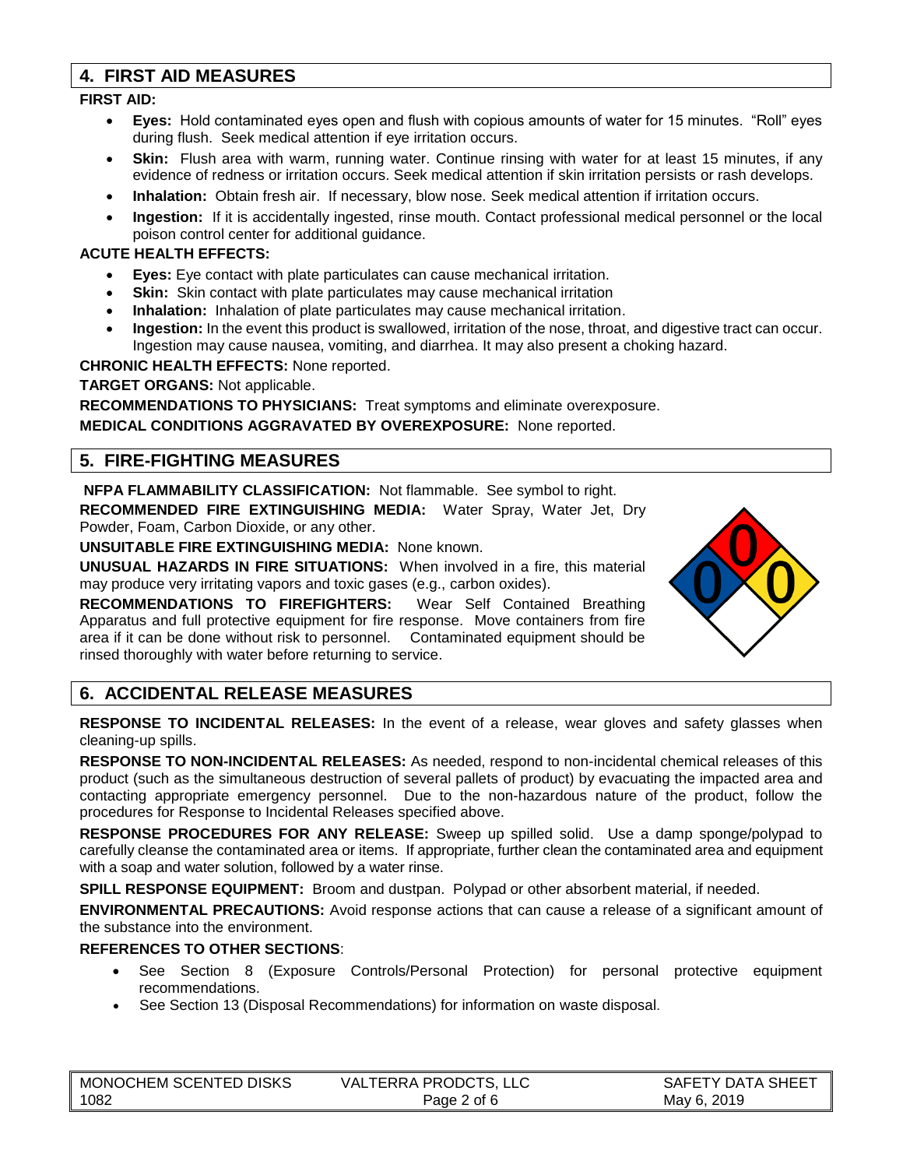# **4. FIRST AID MEASURES**

#### **FIRST AID:**

- **Eyes:** Hold contaminated eyes open and flush with copious amounts of water for 15 minutes. "Roll" eyes during flush. Seek medical attention if eye irritation occurs.
- **Skin:** Flush area with warm, running water. Continue rinsing with water for at least 15 minutes, if any evidence of redness or irritation occurs. Seek medical attention if skin irritation persists or rash develops.
- **Inhalation:** Obtain fresh air. If necessary, blow nose. Seek medical attention if irritation occurs.
- **Ingestion:** If it is accidentally ingested, rinse mouth. Contact professional medical personnel or the local poison control center for additional guidance.

#### **ACUTE HEALTH EFFECTS:**

- **Eyes:** Eye contact with plate particulates can cause mechanical irritation.
- **Skin:** Skin contact with plate particulates may cause mechanical irritation
- **Inhalation:** Inhalation of plate particulates may cause mechanical irritation.
- **Ingestion:** In the event this product is swallowed, irritation of the nose, throat, and digestive tract can occur. Ingestion may cause nausea, vomiting, and diarrhea. It may also present a choking hazard.

**CHRONIC HEALTH EFFECTS:** None reported.

## **TARGET ORGANS:** Not applicable.

**RECOMMENDATIONS TO PHYSICIANS:** Treat symptoms and eliminate overexposure. **MEDICAL CONDITIONS AGGRAVATED BY OVEREXPOSURE:** None reported.

# **5. FIRE-FIGHTING MEASURES**

**NFPA FLAMMABILITY CLASSIFICATION:** Not flammable. See symbol to right.

**RECOMMENDED FIRE EXTINGUISHING MEDIA:** Water Spray, Water Jet, Dry Powder, Foam, Carbon Dioxide, or any other.

**UNSUITABLE FIRE EXTINGUISHING MEDIA:** None known.

**UNUSUAL HAZARDS IN FIRE SITUATIONS:** When involved in a fire, this material may produce very irritating vapors and toxic gases (e.g., carbon oxides).

**RECOMMENDATIONS TO FIREFIGHTERS:** Wear Self Contained Breathing Apparatus and full protective equipment for fire response. Move containers from fire area if it can be done without risk to personnel. Contaminated equipment should be rinsed thoroughly with water before returning to service.



# **6. ACCIDENTAL RELEASE MEASURES**

**RESPONSE TO INCIDENTAL RELEASES:** In the event of a release, wear gloves and safety glasses when cleaning-up spills.

**RESPONSE TO NON-INCIDENTAL RELEASES:** As needed, respond to non-incidental chemical releases of this product (such as the simultaneous destruction of several pallets of product) by evacuating the impacted area and contacting appropriate emergency personnel. Due to the non-hazardous nature of the product, follow the procedures for Response to Incidental Releases specified above.

**RESPONSE PROCEDURES FOR ANY RELEASE:** Sweep up spilled solid.Use a damp sponge/polypad to carefully cleanse the contaminated area or items. If appropriate, further clean the contaminated area and equipment with a soap and water solution, followed by a water rinse.

**SPILL RESPONSE EQUIPMENT:** Broom and dustpan. Polypad or other absorbent material, if needed.

**ENVIRONMENTAL PRECAUTIONS:** Avoid response actions that can cause a release of a significant amount of the substance into the environment.

## **REFERENCES TO OTHER SECTIONS**:

- See Section 8 (Exposure Controls/Personal Protection) for personal protective equipment recommendations.
- See Section 13 (Disposal Recommendations) for information on waste disposal.

| MONOCHEM SCENTED DISKS | VALTERRA PRODCTS, LLC | SAFETY DATA SHEET |
|------------------------|-----------------------|-------------------|
| 1082                   | Page 2 of 6           | May 6, 2019       |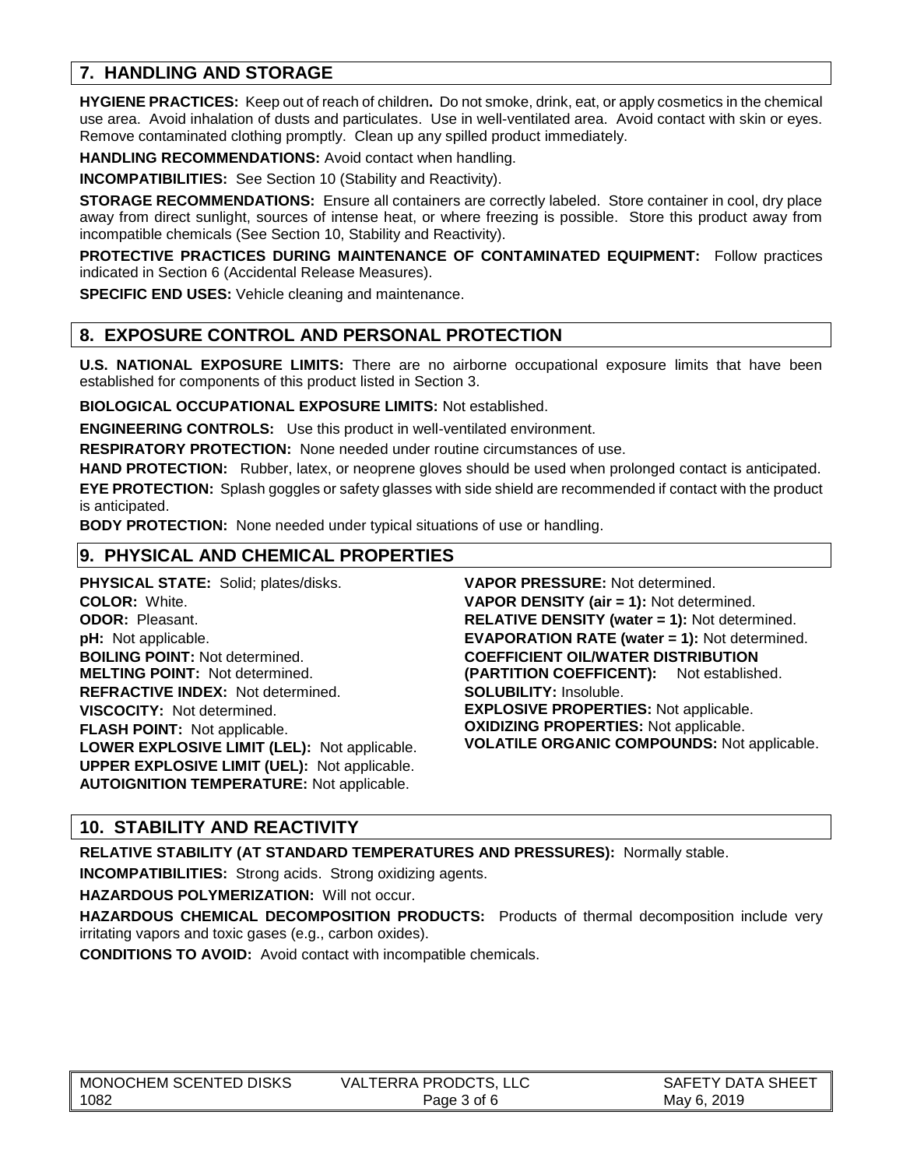# **7. HANDLING AND STORAGE**

**HYGIENE PRACTICES:** Keep out of reach of children**.** Do not smoke, drink, eat, or apply cosmetics in the chemical use area. Avoid inhalation of dusts and particulates. Use in well-ventilated area. Avoid contact with skin or eyes. Remove contaminated clothing promptly. Clean up any spilled product immediately.

**HANDLING RECOMMENDATIONS:** Avoid contact when handling.

**INCOMPATIBILITIES:** See Section 10 (Stability and Reactivity).

**STORAGE RECOMMENDATIONS:** Ensure all containers are correctly labeled. Store container in cool, dry place away from direct sunlight, sources of intense heat, or where freezing is possible. Store this product away from incompatible chemicals (See Section 10, Stability and Reactivity).

**PROTECTIVE PRACTICES DURING MAINTENANCE OF CONTAMINATED EQUIPMENT:** Follow practices indicated in Section 6 (Accidental Release Measures).

**SPECIFIC END USES:** Vehicle cleaning and maintenance.

# **8. EXPOSURE CONTROL AND PERSONAL PROTECTION**

**U.S. NATIONAL EXPOSURE LIMITS:** There are no airborne occupational exposure limits that have been established for components of this product listed in Section 3.

**BIOLOGICAL OCCUPATIONAL EXPOSURE LIMITS:** Not established.

**ENGINEERING CONTROLS:** Use this product in well-ventilated environment.

**RESPIRATORY PROTECTION:** None needed under routine circumstances of use.

**HAND PROTECTION:** Rubber, latex, or neoprene gloves should be used when prolonged contact is anticipated. **EYE PROTECTION:** Splash goggles or safety glasses with side shield are recommended if contact with the product is anticipated.

**BODY PROTECTION:** None needed under typical situations of use or handling.

# **9. PHYSICAL AND CHEMICAL PROPERTIES**

**PHYSICAL STATE:** Solid; plates/disks. **COLOR:** White. **ODOR:** Pleasant. **pH:** Not applicable. **BOILING POINT:** Not determined. **MELTING POINT:** Not determined. **REFRACTIVE INDEX:** Not determined. **VISCOCITY:** Not determined. **FLASH POINT:** Not applicable. **LOWER EXPLOSIVE LIMIT (LEL):** Not applicable. **UPPER EXPLOSIVE LIMIT (UEL):** Not applicable. **AUTOIGNITION TEMPERATURE:** Not applicable.

**VAPOR PRESSURE:** Not determined. **VAPOR DENSITY (air = 1):** Not determined. **RELATIVE DENSITY (water = 1):** Not determined. **EVAPORATION RATE (water = 1):** Not determined. **COEFFICIENT OIL/WATER DISTRIBUTION (PARTITION COEFFICENT):** Not established. **SOLUBILITY:** Insoluble. **EXPLOSIVE PROPERTIES:** Not applicable. **OXIDIZING PROPERTIES:** Not applicable. **VOLATILE ORGANIC COMPOUNDS:** Not applicable.

# **10. STABILITY AND REACTIVITY**

**RELATIVE STABILITY (AT STANDARD TEMPERATURES AND PRESSURES):** Normally stable.

**INCOMPATIBILITIES:** Strong acids. Strong oxidizing agents.

**HAZARDOUS POLYMERIZATION:** Will not occur.

**HAZARDOUS CHEMICAL DECOMPOSITION PRODUCTS:** Products of thermal decomposition include very irritating vapors and toxic gases (e.g., carbon oxides).

**CONDITIONS TO AVOID:** Avoid contact with incompatible chemicals.

| ∥ MONOCHEM SCENTED DISKS | <b>VALTERRA PRODCTS, LLC</b> | SAFETY DATA SHEET |
|--------------------------|------------------------------|-------------------|
| 1082                     | Page 3 of 6                  | May 6, 2019       |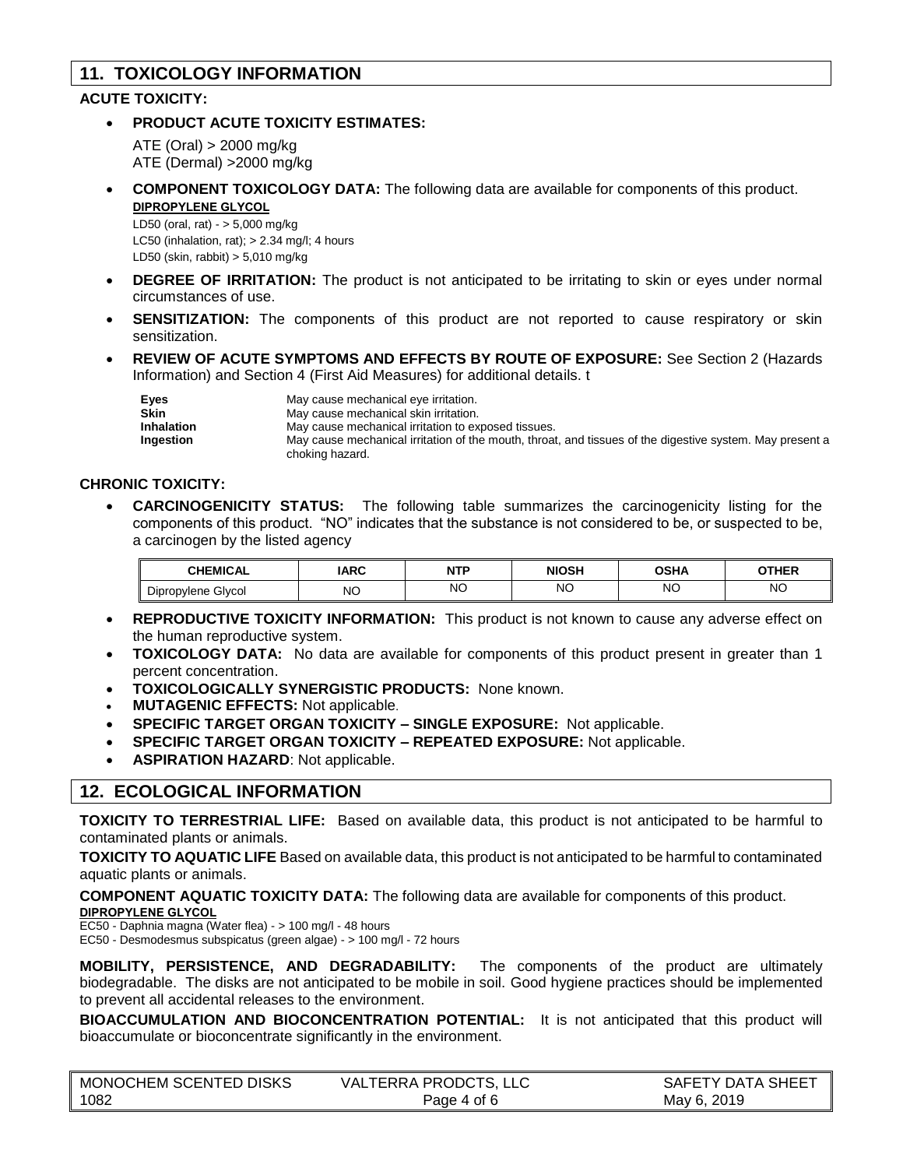# **11. TOXICOLOGY INFORMATION**

## **ACUTE TOXICITY:**

• **PRODUCT ACUTE TOXICITY ESTIMATES:**

ATE (Oral) > 2000 mg/kg ATE (Dermal) >2000 mg/kg

• **COMPONENT TOXICOLOGY DATA:** The following data are available for components of this product. **DIPROPYLENE GLYCOL**

LD50 (oral, rat) - > 5,000 mg/kg LC50 (inhalation, rat);  $> 2.34$  mg/l; 4 hours LD50 (skin, rabbit) > 5,010 mg/kg

- **DEGREE OF IRRITATION:** The product is not anticipated to be irritating to skin or eyes under normal circumstances of use.
- **SENSITIZATION:** The components of this product are not reported to cause respiratory or skin sensitization.
- **REVIEW OF ACUTE SYMPTOMS AND EFFECTS BY ROUTE OF EXPOSURE:** See Section 2 (Hazards Information) and Section 4 (First Aid Measures) for additional details. t

| <b>Eves</b>       | May cause mechanical eye irritation.                                                                     |
|-------------------|----------------------------------------------------------------------------------------------------------|
| <b>Skin</b>       | May cause mechanical skin irritation.                                                                    |
| <b>Inhalation</b> | May cause mechanical irritation to exposed tissues.                                                      |
| Ingestion         | May cause mechanical irritation of the mouth, throat, and tissues of the digestive system. May present a |
|                   | choking hazard.                                                                                          |

#### **CHRONIC TOXICITY:**

• **CARCINOGENICITY STATUS:** The following table summarizes the carcinogenicity listing for the components of this product. "NO" indicates that the substance is not considered to be, or suspected to be, a carcinogen by the listed agency

| <b>CHEMICAL</b>              | <b>IARC</b>  | <b>NTP</b> | <b>NIOSH</b> | <b>OSHA</b> | OTHER     |
|------------------------------|--------------|------------|--------------|-------------|-----------|
| - -<br>Glycol<br>Dipropylene | NC<br>$\sim$ | <b>NO</b>  | ΝO           | <b>NO</b>   | <b>NO</b> |

- **REPRODUCTIVE TOXICITY INFORMATION:** This product is not known to cause any adverse effect on the human reproductive system.
- **TOXICOLOGY DATA:** No data are available for components of this product present in greater than 1 percent concentration.
- **TOXICOLOGICALLY SYNERGISTIC PRODUCTS:** None known.
- **MUTAGENIC EFFECTS:** Not applicable.
- **SPECIFIC TARGET ORGAN TOXICITY – SINGLE EXPOSURE:** Not applicable.
- **SPECIFIC TARGET ORGAN TOXICITY – REPEATED EXPOSURE:** Not applicable.
- **ASPIRATION HAZARD**: Not applicable.

## **12. ECOLOGICAL INFORMATION**

**TOXICITY TO TERRESTRIAL LIFE:** Based on available data, this product is not anticipated to be harmful to contaminated plants or animals.

**TOXICITY TO AQUATIC LIFE** Based on available data, this product is not anticipated to be harmful to contaminated aquatic plants or animals.

**COMPONENT AQUATIC TOXICITY DATA:** The following data are available for components of this product. **DIPROPYLENE GLYCOL**

EC50 - Daphnia magna (Water flea) - > 100 mg/l - 48 hours

EC50 - Desmodesmus subspicatus (green algae) - > 100 mg/l - 72 hours

**MOBILITY, PERSISTENCE, AND DEGRADABILITY:** The components of the product are ultimately biodegradable. The disks are not anticipated to be mobile in soil. Good hygiene practices should be implemented to prevent all accidental releases to the environment.

**BIOACCUMULATION AND BIOCONCENTRATION POTENTIAL:** It is not anticipated that this product will bioaccumulate or bioconcentrate significantly in the environment.

| <b>MONOCHEM SCENTED DISKS</b> | <b>VALTERRA PRODCTS, LLC</b> | <b>SAFETY DATA SHEET</b> |
|-------------------------------|------------------------------|--------------------------|
| 1082                          | Page 4 of 6                  | May 6, 2019              |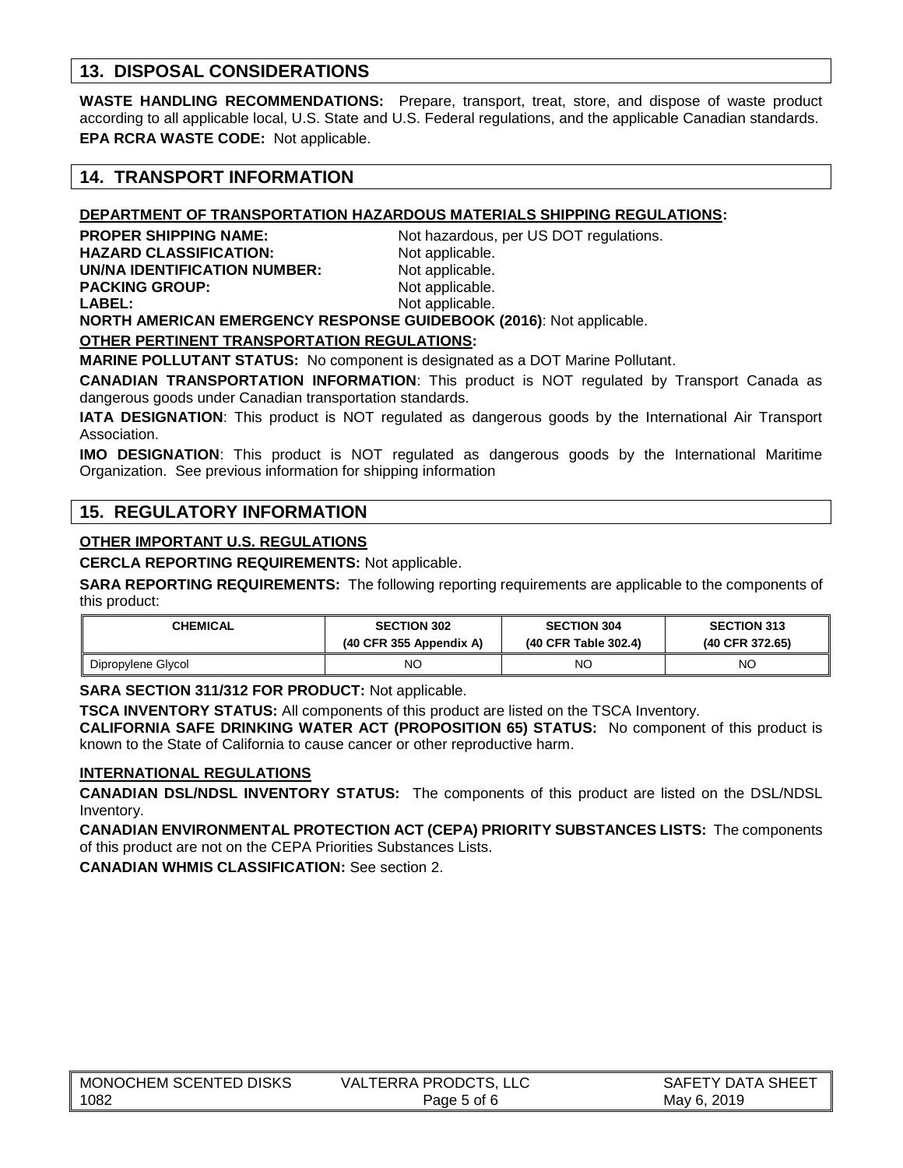# **13. DISPOSAL CONSIDERATIONS**

**WASTE HANDLING RECOMMENDATIONS:** Prepare, transport, treat, store, and dispose of waste product according to all applicable local, U.S. State and U.S. Federal regulations, and the applicable Canadian standards. **EPA RCRA WASTE CODE:** Not applicable.

## **14. TRANSPORT INFORMATION**

## **DEPARTMENT OF TRANSPORTATION HAZARDOUS MATERIALS SHIPPING REGULATIONS:**

**HAZARD CLASSIFICATION:** Not applicable. **UN/NA IDENTIFICATION NUMBER:** Not applicable. **PACKING GROUP:** Not applicable. **LABEL:** Not applicable.

**PROPER SHIPPING NAME:** Not hazardous, per US DOT regulations.

**NORTH AMERICAN EMERGENCY RESPONSE GUIDEBOOK (2016)**: Not applicable.

#### **OTHER PERTINENT TRANSPORTATION REGULATIONS:**

**MARINE POLLUTANT STATUS:** No component is designated as a DOT Marine Pollutant.

**CANADIAN TRANSPORTATION INFORMATION**: This product is NOT regulated by Transport Canada as dangerous goods under Canadian transportation standards.

**IATA DESIGNATION**: This product is NOT regulated as dangerous goods by the International Air Transport Association.

**IMO DESIGNATION**: This product is NOT regulated as dangerous goods by the International Maritime Organization. See previous information for shipping information

## **15. REGULATORY INFORMATION**

#### **OTHER IMPORTANT U.S. REGULATIONS**

**CERCLA REPORTING REQUIREMENTS:** Not applicable.

**SARA REPORTING REQUIREMENTS:** The following reporting requirements are applicable to the components of this product:

| <b>CHEMICAL</b>    | <b>SECTION 302</b>        | <b>SECTION 304</b>   | <b>SECTION 313</b> |
|--------------------|---------------------------|----------------------|--------------------|
|                    | $(40$ CFR 355 Appendix A) | (40 CFR Table 302.4) | (40 CFR 372.65)    |
| Dipropylene Glycol | ΝC                        | NC                   | NC                 |

**SARA SECTION 311/312 FOR PRODUCT:** Not applicable.

**TSCA INVENTORY STATUS:** All components of this product are listed on the TSCA Inventory.

**CALIFORNIA SAFE DRINKING WATER ACT (PROPOSITION 65) STATUS:** No component of this product is known to the State of California to cause cancer or other reproductive harm.

#### **INTERNATIONAL REGULATIONS**

**CANADIAN DSL/NDSL INVENTORY STATUS:** The components of this product are listed on the DSL/NDSL Inventory.

**CANADIAN ENVIRONMENTAL PROTECTION ACT (CEPA) PRIORITY SUBSTANCES LISTS:** The components of this product are not on the CEPA Priorities Substances Lists.

**CANADIAN WHMIS CLASSIFICATION:** See section 2.

| MONOCHEM SCENTED DISKS | <b>VALTERRA PRODCTS, LLC</b> | SAFETY DATA SHEET |
|------------------------|------------------------------|-------------------|
| 1082                   | Page 5 of 6                  | May 6, 2019       |